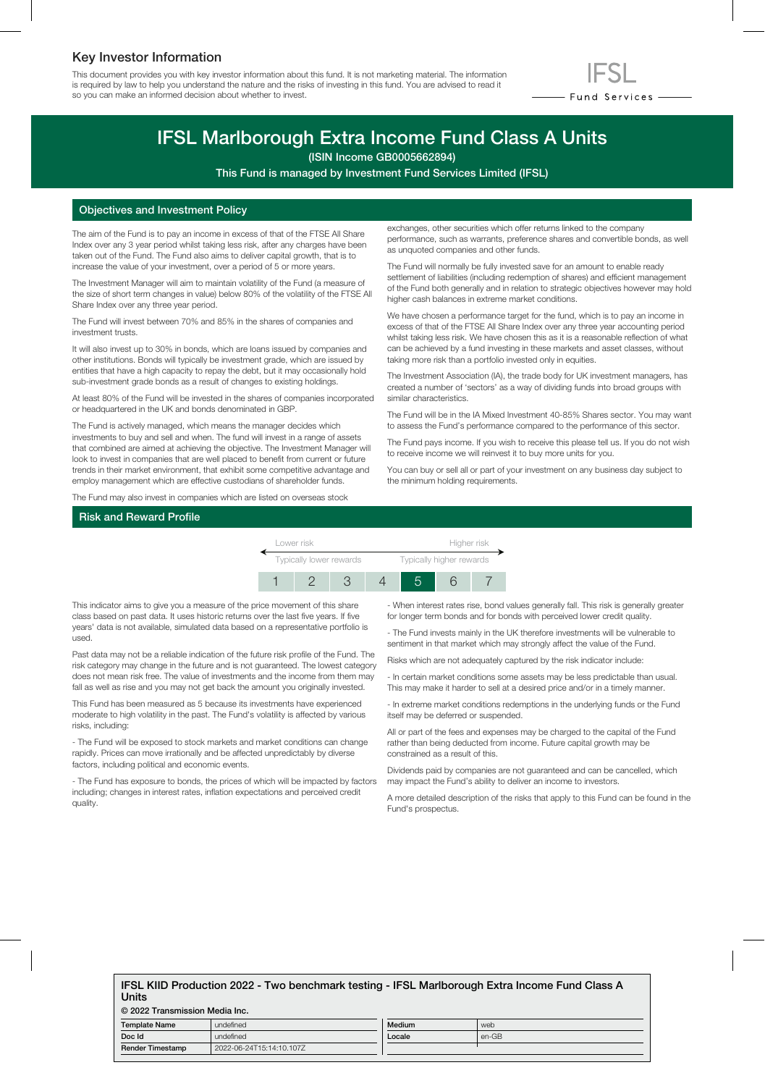## Key Investor Information

This document provides you with key investor information about this fund. It is not marketing material. The information is required by law to help you understand the nature and the risks of investing in this fund. You are advised to read it so you can make an informed decision about whether to invest.



# IFSL Marlborough Extra Income Fund Class A Units

(ISIN Income GB0005662894)

This Fund is managed by Investment Fund Services Limited (IFSL)

### Objectives and Investment Policy

The aim of the Fund is to pay an income in excess of that of the FTSE All Share Index over any 3 year period whilst taking less risk, after any charges have been taken out of the Fund. The Fund also aims to deliver capital growth, that is to increase the value of your investment, over a period of 5 or more years.

The Investment Manager will aim to maintain volatility of the Fund (a measure of the size of short term changes in value) below 80% of the volatility of the FTSE All Share Index over any three year period.

The Fund will invest between 70% and 85% in the shares of companies and investment trusts.

It will also invest up to 30% in bonds, which are loans issued by companies and other institutions. Bonds will typically be investment grade, which are issued by entities that have a high capacity to repay the debt, but it may occasionally hold sub-investment grade bonds as a result of changes to existing holdings.

At least 80% of the Fund will be invested in the shares of companies incorporated or headquartered in the UK and bonds denominated in GBP.

The Fund is actively managed, which means the manager decides which investments to buy and sell and when. The fund will invest in a range of assets that combined are aimed at achieving the objective. The Investment Manager will look to invest in companies that are well placed to benefit from current or future trends in their market environment, that exhibit some competitive advantage and employ management which are effective custodians of shareholder funds.

The Fund may also invest in companies which are listed on overseas stock

exchanges, other securities which offer returns linked to the company performance, such as warrants, preference shares and convertible bonds, as well as unquoted companies and other funds.

The Fund will normally be fully invested save for an amount to enable ready settlement of liabilities (including redemption of shares) and efficient management of the Fund both generally and in relation to strategic objectives however may hold higher cash balances in extreme market conditions.

We have chosen a performance target for the fund, which is to pay an income in excess of that of the FTSE All Share Index over any three year accounting period whilst taking less risk. We have chosen this as it is a reasonable reflection of what can be achieved by a fund investing in these markets and asset classes, without taking more risk than a portfolio invested only in equities.

The Investment Association (IA), the trade body for UK investment managers, has created a number of 'sectors' as a way of dividing funds into broad groups with similar characteristics.

The Fund will be in the IA Mixed Investment 40-85% Shares sector. You may want to assess the Fund's performance compared to the performance of this sector.

The Fund pays income. If you wish to receive this please tell us. If you do not wish to receive income we will reinvest it to buy more units for you.

You can buy or sell all or part of your investment on any business day subject to the minimum holding requirements.

## Risk and Reward Profile



This indicator aims to give you a measure of the price movement of this share class based on past data. It uses historic returns over the last five years. If five years' data is not available, simulated data based on a representative portfolio is used.

Past data may not be a reliable indication of the future risk profile of the Fund. The risk category may change in the future and is not guaranteed. The lowest category does not mean risk free. The value of investments and the income from them may fall as well as rise and you may not get back the amount you originally invested.

This Fund has been measured as 5 because its investments have experienced moderate to high volatility in the past. The Fund's volatility is affected by various risks, including:

- The Fund will be exposed to stock markets and market conditions can change rapidly. Prices can move irrationally and be affected unpredictably by diverse factors, including political and economic events.

- The Fund has exposure to bonds, the prices of which will be impacted by factors including; changes in interest rates, inflation expectations and perceived credit quality.

- When interest rates rise, bond values generally fall. This risk is generally greater for longer term bonds and for bonds with perceived lower credit quality.

- The Fund invests mainly in the UK therefore investments will be vulnerable to sentiment in that market which may strongly affect the value of the Fund.

Risks which are not adequately captured by the risk indicator include:

- In certain market conditions some assets may be less predictable than usual. This may make it harder to sell at a desired price and/or in a timely manner.

- In extreme market conditions redemptions in the underlying funds or the Fund itself may be deferred or suspended.

All or part of the fees and expenses may be charged to the capital of the Fund rather than being deducted from income. Future capital growth may be constrained as a result of this.

Dividends paid by companies are not guaranteed and can be cancelled, which may impact the Fund's ability to deliver an income to investors.

A more detailed description of the risks that apply to this Fund can be found in the Fund's prospectus.